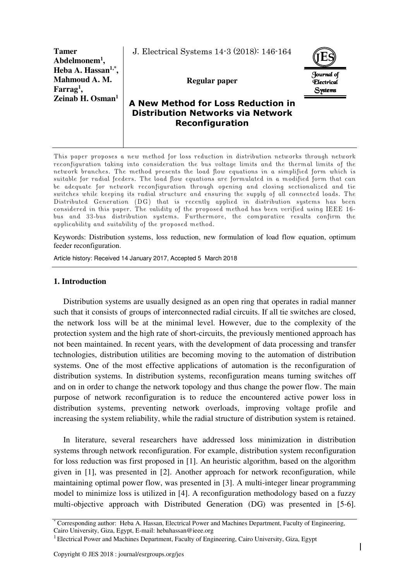**Tamer Abdelmonem<sup>1</sup> , Heba A. Hassan1,\* , Mahmoud A. M. Farrag<sup>1</sup> , Zeinab H. Osman<sup>1</sup>**

J. Electrical Systems 14-3 (2018): 146-164

**Regular paper** 



# **A New Method for Loss Reduction in Distribution Networks via Network Reconfiguration**

This paper proposes a new method for loss reduction in distribution networks through network reconfiguration taking into consideration the bus voltage limits and the thermal limits of the network branches. The method presents the load flow equations in a simplified form which is suitable for radial feeders. The load flow equations are formulated in a modified form that can be adequate for network reconfiguration through opening and closing sectionalized and tie switches while keeping its radial structure and ensuring the supply of all connected loads. The Distributed Generation (DG) that is recently applied in distribution systems has been considered in this paper. The validity of the proposed method has been verified using IEEE 16 bus and 33-bus distribution systems. Furthermore, the comparative results confirm the applicability and suitability of the proposed method.

Keywords: Distribution systems, loss reduction, new formulation of load flow equation, optimum feeder reconfiguration.

Article history: Received 14 January 2017, Accepted 5 March 2018

# **1. Introduction**

Distribution systems are usually designed as an open ring that operates in radial manner such that it consists of groups of interconnected radial circuits. If all tie switches are closed, the network loss will be at the minimal level. However, due to the complexity of the protection system and the high rate of short-circuits, the previously mentioned approach has not been maintained. In recent years, with the development of data processing and transfer technologies, distribution utilities are becoming moving to the automation of distribution systems. One of the most effective applications of automation is the reconfiguration of distribution systems. In distribution systems, reconfiguration means turning switches off and on in order to change the network topology and thus change the power flow. The main purpose of network reconfiguration is to reduce the encountered active power loss in distribution systems, preventing network overloads, improving voltage profile and increasing the system reliability, while the radial structure of distribution system is retained.

In literature, several researchers have addressed loss minimization in distribution systems through network reconfiguration. For example, distribution system reconfiguration for loss reduction was first proposed in [1]. An heuristic algorithm, based on the algorithm given in [1], was presented in [2]. Another approach for network reconfiguration, while maintaining optimal power flow, was presented in [3]. A multi-integer linear programming model to minimize loss is utilized in [4]. A reconfiguration methodology based on a fuzzy multi-objective approach with Distributed Generation (DG) was presented in [5-6].

<sup>\*</sup> Corresponding author: Heba A. Hassan, Electrical Power and Machines Department, Faculty of Engineering, Cairo University, Giza, Egypt, E-mail: hebahassan@ieee.org

<sup>1</sup> Electrical Power and Machines Department, Faculty of Engineering, Cairo University, Giza, Egypt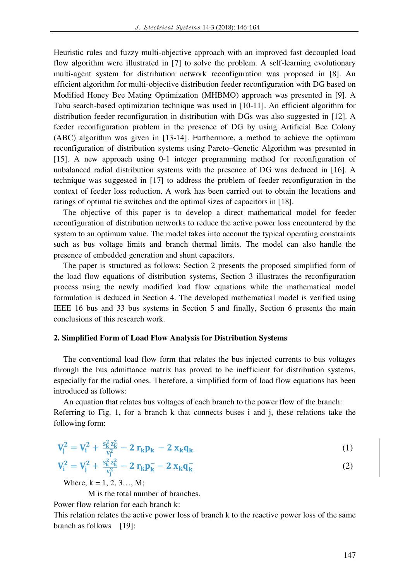Heuristic rules and fuzzy multi-objective approach with an improved fast decoupled load flow algorithm were illustrated in [7] to solve the problem. A self-learning evolutionary multi-agent system for distribution network reconfiguration was proposed in [8]. An efficient algorithm for multi-objective distribution feeder reconfiguration with DG based on Modified Honey Bee Mating Optimization (MHBMO) approach was presented in [9]. A Tabu search-based optimization technique was used in [10-11]. An efficient algorithm for distribution feeder reconfiguration in distribution with DGs was also suggested in [12]. A feeder reconfiguration problem in the presence of DG by using Artificial Bee Colony (ABC) algorithm was given in [13-14]. Furthermore, a method to achieve the optimum reconfiguration of distribution systems using Pareto–Genetic Algorithm was presented in [15]. A new approach using 0-1 integer programming method for reconfiguration of unbalanced radial distribution systems with the presence of DG was deduced in [16]. A technique was suggested in [17] to address the problem of feeder reconfiguration in the context of feeder loss reduction. A work has been carried out to obtain the locations and ratings of optimal tie switches and the optimal sizes of capacitors in [18].

The objective of this paper is to develop a direct mathematical model for feeder reconfiguration of distribution networks to reduce the active power loss encountered by the system to an optimum value. The model takes into account the typical operating constraints such as bus voltage limits and branch thermal limits. The model can also handle the presence of embedded generation and shunt capacitors.

The paper is structured as follows: Section 2 presents the proposed simplified form of the load flow equations of distribution systems, Section 3 illustrates the reconfiguration process using the newly modified load flow equations while the mathematical model formulation is deduced in Section 4. The developed mathematical model is verified using IEEE 16 bus and 33 bus systems in Section 5 and finally, Section 6 presents the main conclusions of this research work.

#### **2. Simplified Form of Load Flow Analysis for Distribution Systems**

The conventional load flow form that relates the bus injected currents to bus voltages through the bus admittance matrix has proved to be inefficient for distribution systems, especially for the radial ones. Therefore, a simplified form of load flow equations has been introduced as follows:

An equation that relates bus voltages of each branch to the power flow of the branch: Referring to Fig. 1, for a branch k that connects buses i and j, these relations take the following form:

$$
V_j^2 = V_i^2 + \frac{s_k^2 z_k^2}{v_i^2} - 2 r_k p_k - 2 x_k q_k
$$
 (1)

$$
V_{i}^{2} = V_{j}^{2} + \frac{s_{k}^{2} z_{k}^{2}}{v_{j}^{2}} - 2 r_{k} p_{k}^{-} - 2 x_{k} q_{k}^{-}
$$
 (2)

Where,  $k = 1, 2, 3, \dots$  M;

M is the total number of branches.

Power flow relation for each branch k:

This relation relates the active power loss of branch k to the reactive power loss of the same branch as follows [19]: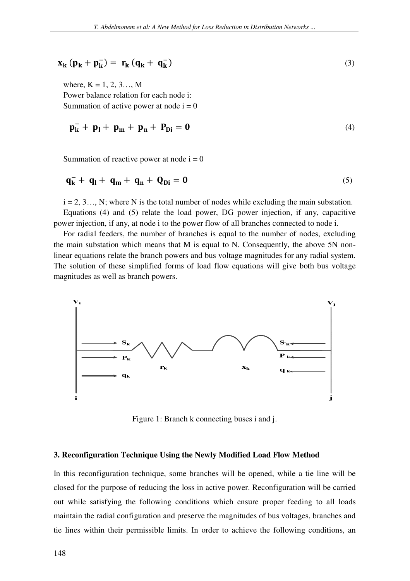$$
\mathbf{x}_{k} \left( \mathbf{p}_{k} + \mathbf{p}_{k}^{-} \right) = \mathbf{r}_{k} \left( \mathbf{q}_{k} + \mathbf{q}_{k}^{-} \right) \tag{3}
$$

where,  $K = 1, 2, 3, \dots$  M Power balance relation for each node i: Summation of active power at node  $i = 0$ 

$$
p_k^- + p_l + p_m + p_{n} + P_{Di} = 0 \tag{4}
$$

Summation of reactive power at node  $i = 0$ 

$$
\mathbf{q}_{k}^{-} + \mathbf{q}_{l} + \mathbf{q}_{m} + \mathbf{q}_{n} + \mathbf{Q}_{Di} = \mathbf{0}
$$
\n<sup>(5)</sup>

 $i = 2, 3, \ldots$ , N; where N is the total number of nodes while excluding the main substation. Equations (4) and (5) relate the load power, DG power injection, if any, capacitive power injection, if any, at node i to the power flow of all branches connected to node i.

For radial feeders, the number of branches is equal to the number of nodes, excluding the main substation which means that M is equal to N. Consequently, the above 5N nonlinear equations relate the branch powers and bus voltage magnitudes for any radial system. The solution of these simplified forms of load flow equations will give both bus voltage magnitudes as well as branch powers.



Figure 1: Branch k connecting buses i and j.

#### **3. Reconfiguration Technique Using the Newly Modified Load Flow Method**

In this reconfiguration technique, some branches will be opened, while a tie line will be closed for the purpose of reducing the loss in active power. Reconfiguration will be carried out while satisfying the following conditions which ensure proper feeding to all loads maintain the radial configuration and preserve the magnitudes of bus voltages, branches and tie lines within their permissible limits. In order to achieve the following conditions, an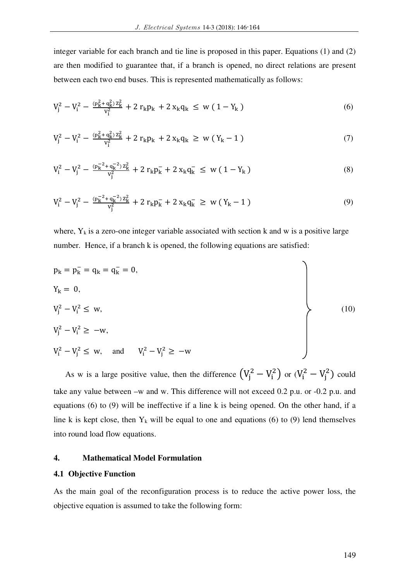integer variable for each branch and tie line is proposed in this paper. Equations (1) and (2) are then modified to guarantee that, if a branch is opened, no direct relations are present between each two end buses. This is represented mathematically as follows:

$$
V_j^2 - V_i^2 - \frac{(p_k^2 + q_k^2)z_k^2}{v_j^2} + 2\,r_k p_k + 2\,x_k q_k \le w\left(1 - Y_k\right) \tag{6}
$$

$$
V_j^2 - V_i^2 - \frac{(p_k^2 + q_k^2)z_k^2}{v_j^2} + 2\,r_k p_k + 2\,x_k q_k \ge w\left(Y_k - 1\right) \tag{7}
$$

$$
V_i^2 - V_j^2 - \frac{(p_k^{-2} + q_k^{-2})Z_k^2}{V_j^2} + 2 r_k p_k^- + 2 x_k q_k^- \leq w (1 - Y_k)
$$
\n(8)

$$
V_i^2 - V_j^2 - \frac{(p_k^{-2} + q_k^{-2})Z_k^2}{V_j^2} + 2 r_k p_k^- + 2 x_k q_k^- \geq w (Y_k - 1)
$$
\n(9)

where,  $Y_k$  is a zero-one integer variable associated with section k and w is a positive large number. Hence, if a branch k is opened, the following equations are satisfied:

$$
p_{k} = p_{k}^{-} = q_{k} = q_{k}^{-} = 0,
$$
  
\n
$$
V_{j}^{2} - V_{i}^{2} \leq w,
$$
  
\n
$$
V_{j}^{2} - V_{i}^{2} \geq -w,
$$
  
\n
$$
V_{i}^{2} - V_{j}^{2} \leq w,
$$
 and 
$$
V_{i}^{2} - V_{j}^{2} \geq -w
$$
  
\n(10)

As w is a large positive value, then the difference  $(V_j^2 - V_i^2)$  or  $(V_i^2 - V_j^2)$  could take any value between –w and w. This difference will not exceed 0.2 p.u. or -0.2 p.u. and equations (6) to (9) will be ineffective if a line k is being opened. On the other hand, if a line k is kept close, then  $Y_k$  will be equal to one and equations (6) to (9) lend themselves into round load flow equations.

### **4. Mathematical Model Formulation**

#### **4.1 Objective Function**

As the main goal of the reconfiguration process is to reduce the active power loss, the objective equation is assumed to take the following form: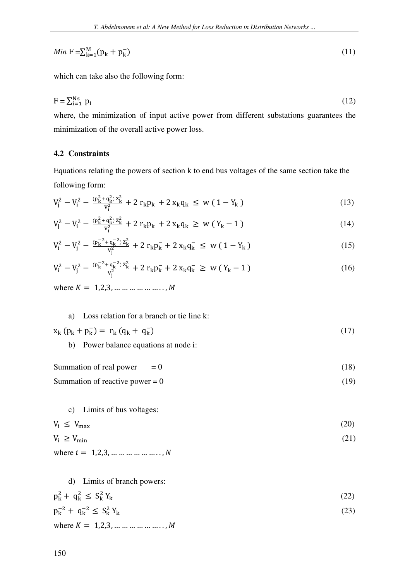$$
Min\ \mathbf{F} = \sum_{k=1}^{M} (p_k + p_k^{-}) \tag{11}
$$

which can take also the following form:

$$
F = \sum_{i=1}^{Ns} p_i \tag{12}
$$

where, the minimization of input active power from different substations guarantees the minimization of the overall active power loss.

### **4.2 Constraints**

Equations relating the powers of section k to end bus voltages of the same section take the following form:

$$
V_j^2 - V_i^2 - \frac{(p_k^2 + q_k^2)z_k^2}{v_j^2} + 2\,r_k p_k + 2\,x_k q_k \le w\,(1 - Y_k) \tag{13}
$$

$$
V_j^2 - V_i^2 - \frac{(p_k^2 + q_k^2)z_k^2}{v_j^2} + 2\,r_k p_k + 2\,x_k q_k \ge w\left(Y_k - 1\right) \tag{14}
$$

$$
V_i^2 - V_j^2 - \frac{(p_k^{-2} + q_k^{-2})Z_k^2}{V_j^2} + 2 r_k p_k^- + 2 x_k q_k^- \leq w (1 - Y_k)
$$
\n(15)

$$
V_i^2 - V_j^2 - \frac{(p_k^{-2} + q_k^{-2})Z_k^2}{V_j^2} + 2 r_k p_k^- + 2 x_k q_k^- \geq w (Y_k - 1)
$$
\n(16)

where  $K = 1, 2, 3, \dots \dots \dots \dots \dots$ 

# a) Loss relation for a branch or tie line k:

$$
x_k (p_k + p_k^-) = r_k (q_k + q_k^-) \tag{17}
$$

b) Power balance equations at node i:

Summation of real power  $= 0$  (18)

Summation of reactive power =  $0$  (19)

### c) Limits of bus voltages:

$$
V_i \le V_{\text{max}} \tag{20}
$$

$$
V_i \ge V_{\min} \tag{21}
$$

where  $i = 1, 2, 3, ... ... ... ... ... ...$   $N$ 

#### d) Limits of branch powers:

$$
p_k^2 + q_k^2 \le S_k^2 Y_k \tag{22}
$$

$$
p_k^{-2} + q_k^{-2} \le S_k^2 Y_k
$$
 (23)

where  $K = 1, 2, 3, ...$  ... ... ... ... ... ... *M*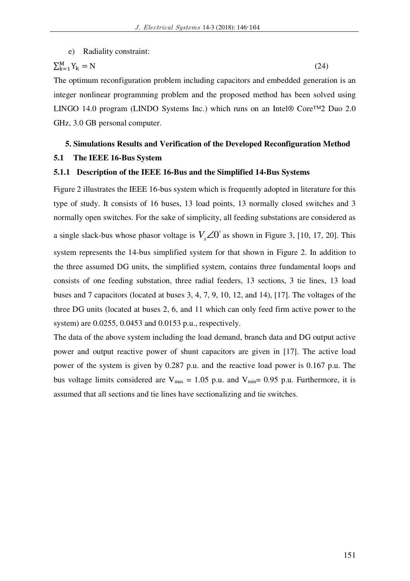### e) Radiality constraint:

$$
\sum_{k=1}^{M} Y_k = N \tag{24}
$$

The optimum reconfiguration problem including capacitors and embedded generation is an integer nonlinear programming problem and the proposed method has been solved using LINGO 14.0 program (LINDO Systems Inc.) which runs on an Intel® Core™2 Duo 2.0 GHz, 3.0 GB personal computer.

# **5. Simulations Results and Verification of the Developed Reconfiguration Method**

# **5.1 The IEEE 16-Bus System**

#### **5.1.1 Description of the IEEE 16-Bus and the Simplified 14-Bus Systems**

Figure 2 illustrates the IEEE 16-bus system which is frequently adopted in literature for this type of study. It consists of 16 buses, 13 load points, 13 normally closed switches and 3 normally open switches. For the sake of simplicity, all feeding substations are considered as a single slack-bus whose phasor voltage is  $V_s \angle 0^\circ$  as shown in Figure 3, [10, 17, 20]. This system represents the 14-bus simplified system for that shown in Figure 2. In addition to the three assumed DG units, the simplified system, contains three fundamental loops and consists of one feeding substation, three radial feeders, 13 sections, 3 tie lines, 13 load buses and 7 capacitors (located at buses 3, 4, 7, 9, 10, 12, and 14), [17]. The voltages of the three DG units (located at buses 2, 6, and 11 which can only feed firm active power to the system) are 0.0255, 0.0453 and 0.0153 p.u., respectively.

The data of the above system including the load demand, branch data and DG output active power and output reactive power of shunt capacitors are given in [17]. The active load power of the system is given by 0.287 p.u. and the reactive load power is 0.167 p.u. The bus voltage limits considered are  $V_{\text{max}} = 1.05$  p.u. and  $V_{\text{min}} = 0.95$  p.u. Furthermore, it is assumed that all sections and tie lines have sectionalizing and tie switches.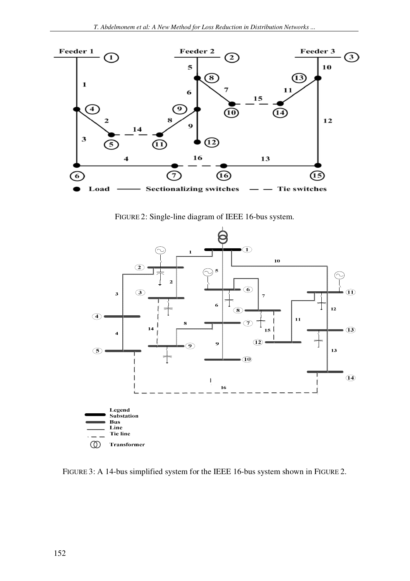

FIGURE 2: Single-line diagram of IEEE 16-bus system.



FIGURE 3: A 14-bus simplified system for the IEEE 16-bus system shown in FIGURE 2.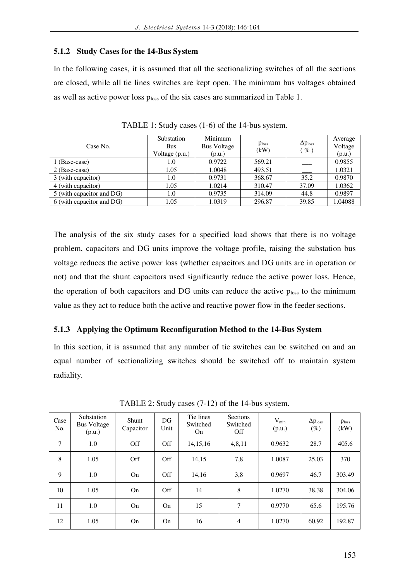#### **5.1.2 Study Cases for the 14-Bus System**

In the following cases, it is assumed that all the sectionalizing switches of all the sections are closed, while all tie lines switches are kept open. The minimum bus voltages obtained as well as active power loss ploss of the six cases are summarized in Table 1.

| Case No.                  | Substation<br>Bus<br>Voltage (p.u.) | Minimum<br><b>Bus Voltage</b><br>(p.u.) | Ploss<br>(kW) | $\Delta p_{loss}$<br>$(\%)$ | Average<br>Voltage<br>(p.u.) |
|---------------------------|-------------------------------------|-----------------------------------------|---------------|-----------------------------|------------------------------|
| 1 (Base-case)             | 1.0                                 | 0.9722                                  | 569.21        |                             | 0.9855                       |
| 2 (Base-case)             | 1.05                                | 1.0048                                  | 493.51        |                             | 1.0321                       |
| 3 (with capacitor)        | 1.0                                 | 0.9731                                  | 368.67        | 35.2                        | 0.9870                       |
| 4 (with capacitor)        | 1.05                                | 1.0214                                  | 310.47        | 37.09                       | 1.0362                       |
| 5 (with capacitor and DG) | 1.0                                 | 0.9735                                  | 314.09        | 44.8                        | 0.9897                       |
| 6 (with capacitor and DG) | 1.05                                | 1.0319                                  | 296.87        | 39.85                       | 1.04088                      |

TABLE 1: Study cases (1-6) of the 14-bus system.

The analysis of the six study cases for a specified load shows that there is no voltage problem, capacitors and DG units improve the voltage profile, raising the substation bus voltage reduces the active power loss (whether capacitors and DG units are in operation or not) and that the shunt capacitors used significantly reduce the active power loss. Hence, the operation of both capacitors and DG units can reduce the active ploss to the minimum value as they act to reduce both the active and reactive power flow in the feeder sections.

# **5.1.3 Applying the Optimum Reconfiguration Method to the 14-Bus System**

In this section, it is assumed that any number of tie switches can be switched on and an equal number of sectionalizing switches should be switched off to maintain system radiality.

| Case<br>No. | Substation<br><b>Bus Voltage</b><br>(p.u.) | Shunt<br>Capacitor | DG<br>Unit | Tie lines<br>Switched<br>On | <b>Sections</b><br>Switched<br>Off | $V_{min}$<br>(p.u.) | $\Delta p_{loss}$<br>$(\%)$ | p <sub>loss</sub><br>(kW) |
|-------------|--------------------------------------------|--------------------|------------|-----------------------------|------------------------------------|---------------------|-----------------------------|---------------------------|
| 7           | 1.0                                        | Off                | Off        | 14, 15, 16                  | 4,8,11                             | 0.9632              | 28.7                        | 405.6                     |
| 8           | 1.05                                       | Off                | Off        | 14,15                       | 7,8                                | 1.0087              | 25.03                       | 370                       |
| 9           | 1.0                                        | On                 | Off        | 14,16                       | 3,8                                | 0.9697              | 46.7                        | 303.49                    |
| 10          | 1.05                                       | On                 | Off        | 14                          | 8                                  | 1.0270              | 38.38                       | 304.06                    |
| 11          | 1.0                                        | On                 | On         | 15                          | 7                                  | 0.9770              | 65.6                        | 195.76                    |
| 12          | 1.05                                       | On                 | On         | 16                          | 4                                  | 1.0270              | 60.92                       | 192.87                    |

TABLE 2: Study cases (7-12) of the 14-bus system.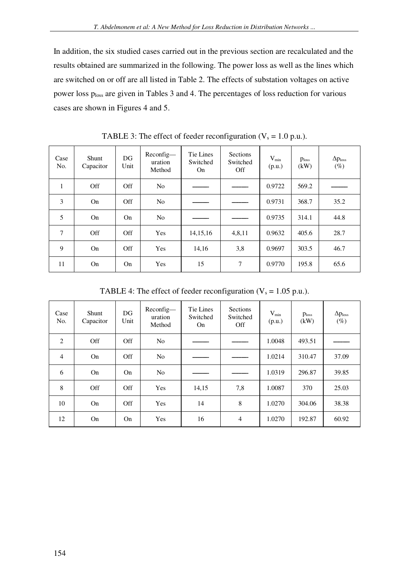In addition, the six studied cases carried out in the previous section are recalculated and the results obtained are summarized in the following. The power loss as well as the lines which are switched on or off are all listed in Table 2. The effects of substation voltages on active power loss ploss are given in Tables 3 and 4. The percentages of loss reduction for various cases are shown in Figures 4 and 5.

| Case<br>No.  | Shunt<br>Capacitor | DG<br>Unit | Reconfig-<br>uration<br>Method | Tie Lines<br>Switched<br>On | Sections<br>Switched<br>Off | $V_{\min}$<br>(p.u.) | Ploss<br>(kW) | $\Delta p_{loss}$<br>$(\%)$ |
|--------------|--------------------|------------|--------------------------------|-----------------------------|-----------------------------|----------------------|---------------|-----------------------------|
| $\mathbf{1}$ | Off                | Off        | N <sub>0</sub>                 |                             |                             | 0.9722               | 569.2         |                             |
| 3            | On                 | Off        | N <sub>0</sub>                 |                             |                             | 0.9731               | 368.7         | 35.2                        |
| 5            | On                 | On         | N <sub>0</sub>                 |                             |                             | 0.9735               | 314.1         | 44.8                        |
| $\tau$       | Off                | Off        | Yes                            | 14, 15, 16                  | 4,8,11                      | 0.9632               | 405.6         | 28.7                        |
| 9            | On                 | Off        | Yes                            | 14,16                       | 3,8                         | 0.9697               | 303.5         | 46.7                        |
| 11           | On                 | On         | Yes                            | 15                          | 7                           | 0.9770               | 195.8         | 65.6                        |

TABLE 3: The effect of feeder reconfiguration ( $V_s = 1.0$  p.u.).

TABLE 4: The effect of feeder reconfiguration ( $V_s = 1.05$  p.u.).

| Case<br>No.    | Shunt<br>Capacitor | DG<br>Unit | Reconfig-<br>uration<br>Method | Tie Lines<br>Switched<br>On | <b>Sections</b><br>Switched<br>Off | $V_{min}$<br>(p.u.) | p <sub>loss</sub><br>(kW) | $\Delta p_{loss}$<br>$(\%)$ |
|----------------|--------------------|------------|--------------------------------|-----------------------------|------------------------------------|---------------------|---------------------------|-----------------------------|
| $\overline{2}$ | Off                | Off        | N <sub>0</sub>                 |                             |                                    | 1.0048              | 493.51                    |                             |
| $\overline{4}$ | On                 | Off        | N <sub>0</sub>                 |                             |                                    | 1.0214              | 310.47                    | 37.09                       |
| 6              | On                 | On         | N <sub>0</sub>                 |                             |                                    | 1.0319              | 296.87                    | 39.85                       |
| 8              | Off                | Off        | Yes                            | 14,15                       | 7,8                                | 1.0087              | 370                       | 25.03                       |
| 10             | On                 | Off        | Yes                            | 14                          | 8                                  | 1.0270              | 304.06                    | 38.38                       |
| 12             | On                 | On         | Yes                            | 16                          | $\overline{4}$                     | 1.0270              | 192.87                    | 60.92                       |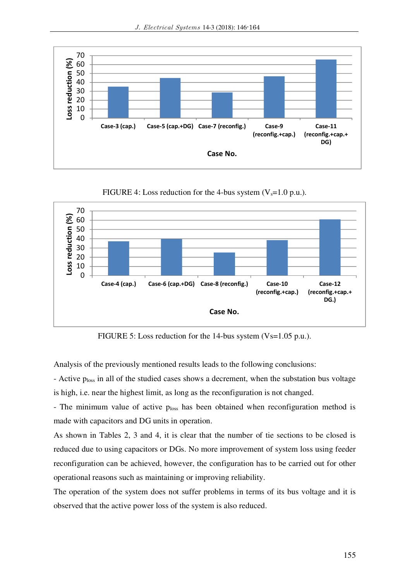

FIGURE 4: Loss reduction for the 4-bus system  $(V_s=1.0 \text{ p.u.})$ .



FIGURE 5: Loss reduction for the 14-bus system (Vs=1.05 p.u.).

Analysis of the previously mentioned results leads to the following conclusions:

- Active p<sub>loss</sub> in all of the studied cases shows a decrement, when the substation bus voltage is high, i.e. near the highest limit, as long as the reconfiguration is not changed.

- The minimum value of active ploss has been obtained when reconfiguration method is made with capacitors and DG units in operation.

As shown in Tables 2, 3 and 4, it is clear that the number of tie sections to be closed is reduced due to using capacitors or DGs. No more improvement of system loss using feeder reconfiguration can be achieved, however, the configuration has to be carried out for other operational reasons such as maintaining or improving reliability.

The operation of the system does not suffer problems in terms of its bus voltage and it is observed that the active power loss of the system is also reduced.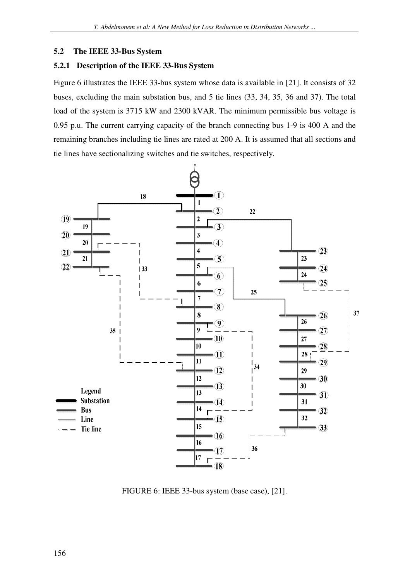### **5.2 The IEEE 33-Bus System**

# **5.2.1 Description of the IEEE 33-Bus System**

Figure 6 illustrates the IEEE 33-bus system whose data is available in [21]. It consists of 32 buses, excluding the main substation bus, and 5 tie lines (33, 34, 35, 36 and 37). The total load of the system is 3715 kW and 2300 kVAR. The minimum permissible bus voltage is 0.95 p.u. The current carrying capacity of the branch connecting bus 1-9 is 400 A and the remaining branches including tie lines are rated at 200 A. It is assumed that all sections and tie lines have sectionalizing switches and tie switches, respectively.



FIGURE 6: IEEE 33-bus system (base case), [21].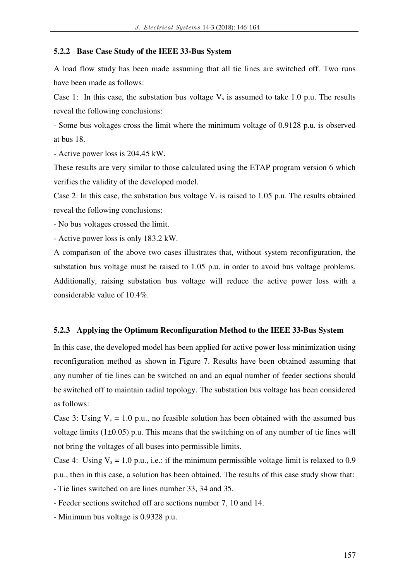#### **5.2.2 Base Case Study of the IEEE 33-Bus System**

A load flow study has been made assuming that all tie lines are switched off. Two runs have been made as follows:

Case 1: In this case, the substation bus voltage  $V_s$  is assumed to take 1.0 p.u. The results reveal the following conclusions:

- Some bus voltages cross the limit where the minimum voltage of 0.9128 p.u. is observed at bus 18.

- Active power loss is 204.45 kW.

These results are very similar to those calculated using the ETAP program version 6 which verifies the validity of the developed model.

Case 2: In this case, the substation bus voltage  $V_s$  is raised to 1.05 p.u. The results obtained reveal the following conclusions:

- No bus voltages crossed the limit.

- Active power loss is only 183.2 kW.

A comparison of the above two cases illustrates that, without system reconfiguration, the substation bus voltage must be raised to 1.05 p.u. in order to avoid bus voltage problems. Additionally, raising substation bus voltage will reduce the active power loss with a considerable value of 10.4%.

#### **5.2.3 Applying the Optimum Reconfiguration Method to the IEEE 33-Bus System**

In this case, the developed model has been applied for active power loss minimization using reconfiguration method as shown in Figure 7. Results have been obtained assuming that any number of tie lines can be switched on and an equal number of feeder sections should be switched off to maintain radial topology. The substation bus voltage has been considered as follows:

Case 3: Using  $V_s = 1.0$  p.u., no feasible solution has been obtained with the assumed bus voltage limits  $(1\pm0.05)$  p.u. This means that the switching on of any number of tie lines will not bring the voltages of all buses into permissible limits.

Case 4: Using  $V_s = 1.0$  p.u., i.e.: if the minimum permissible voltage limit is relaxed to 0.9 p.u., then in this case, a solution has been obtained. The results of this case study show that:

- Tie lines switched on are lines number 33, 34 and 35.

- Feeder sections switched off are sections number 7, 10 and 14.
- Minimum bus voltage is 0.9328 p.u.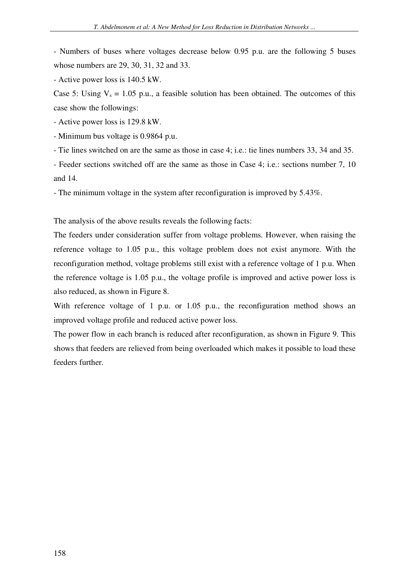- Numbers of buses where voltages decrease below 0.95 p.u. are the following 5 buses whose numbers are 29, 30, 31, 32 and 33.

- Active power loss is 140.5 kW.

Case 5: Using  $V_s = 1.05$  p.u., a feasible solution has been obtained. The outcomes of this case show the followings:

- Active power loss is 129.8 kW.

- Minimum bus voltage is 0.9864 p.u.

- Tie lines switched on are the same as those in case 4; i.e.: tie lines numbers 33, 34 and 35.

- Feeder sections switched off are the same as those in Case 4; i.e.: sections number 7, 10 and 14.

- The minimum voltage in the system after reconfiguration is improved by 5.43%.

The analysis of the above results reveals the following facts:

The feeders under consideration suffer from voltage problems. However, when raising the reference voltage to 1.05 p.u., this voltage problem does not exist anymore. With the reconfiguration method, voltage problems still exist with a reference voltage of 1 p.u. When the reference voltage is 1.05 p.u., the voltage profile is improved and active power loss is also reduced, as shown in Figure 8.

With reference voltage of 1 p.u. or 1.05 p.u., the reconfiguration method shows an improved voltage profile and reduced active power loss.

The power flow in each branch is reduced after reconfiguration, as shown in Figure 9. This shows that feeders are relieved from being overloaded which makes it possible to load these feeders further.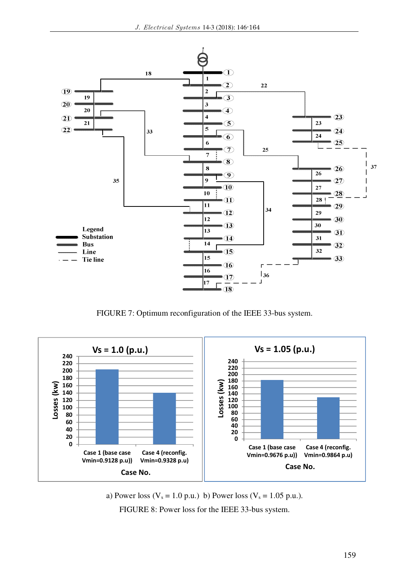

FIGURE 7: Optimum reconfiguration of the IEEE 33-bus system.



a) Power loss ( $V_s = 1.0$  p.u.) b) Power loss ( $V_s = 1.05$  p.u.). FIGURE 8: Power loss for the IEEE 33-bus system.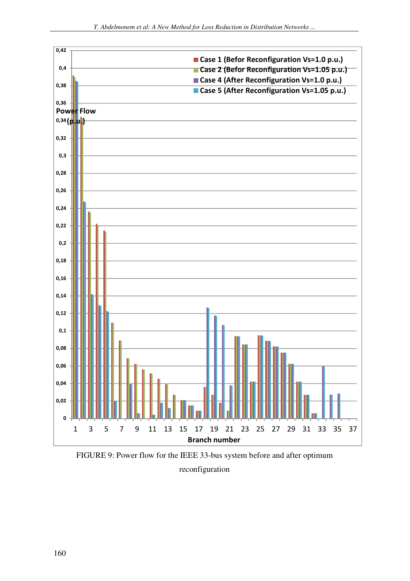

FIGURE 9: Power flow for the IEEE 33-bus system before and after optimum reconfiguration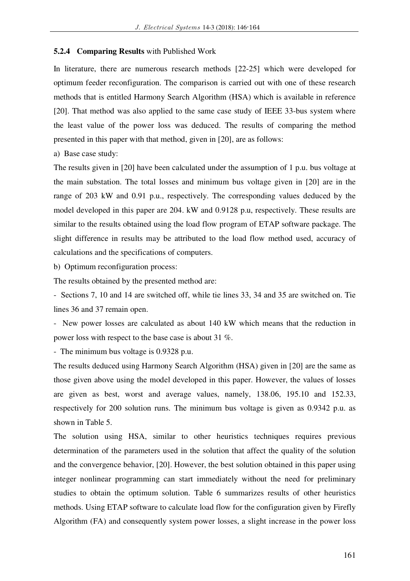#### **5.2.4 Comparing Results** with Published Work

In literature, there are numerous research methods [22-25] which were developed for optimum feeder reconfiguration. The comparison is carried out with one of these research methods that is entitled Harmony Search Algorithm (HSA) which is available in reference [20]. That method was also applied to the same case study of IEEE 33-bus system where the least value of the power loss was deduced. The results of comparing the method presented in this paper with that method, given in [20], are as follows:

a) Base case study:

The results given in [20] have been calculated under the assumption of 1 p.u. bus voltage at the main substation. The total losses and minimum bus voltage given in [20] are in the range of 203 kW and 0.91 p.u., respectively. The corresponding values deduced by the model developed in this paper are 204. kW and 0.9128 p.u, respectively. These results are similar to the results obtained using the load flow program of ETAP software package. The slight difference in results may be attributed to the load flow method used, accuracy of calculations and the specifications of computers.

b) Optimum reconfiguration process:

The results obtained by the presented method are:

- Sections 7, 10 and 14 are switched off, while tie lines 33, 34 and 35 are switched on. Tie lines 36 and 37 remain open.

- New power losses are calculated as about 140 kW which means that the reduction in power loss with respect to the base case is about 31 %.

- The minimum bus voltage is 0.9328 p.u.

The results deduced using Harmony Search Algorithm (HSA) given in [20] are the same as those given above using the model developed in this paper. However, the values of losses are given as best, worst and average values, namely, 138.06, 195.10 and 152.33, respectively for 200 solution runs. The minimum bus voltage is given as 0.9342 p.u. as shown in Table 5.

The solution using HSA, similar to other heuristics techniques requires previous determination of the parameters used in the solution that affect the quality of the solution and the convergence behavior, [20]. However, the best solution obtained in this paper using integer nonlinear programming can start immediately without the need for preliminary studies to obtain the optimum solution. Table 6 summarizes results of other heuristics methods. Using ETAP software to calculate load flow for the configuration given by Firefly Algorithm (FA) and consequently system power losses, a slight increase in the power loss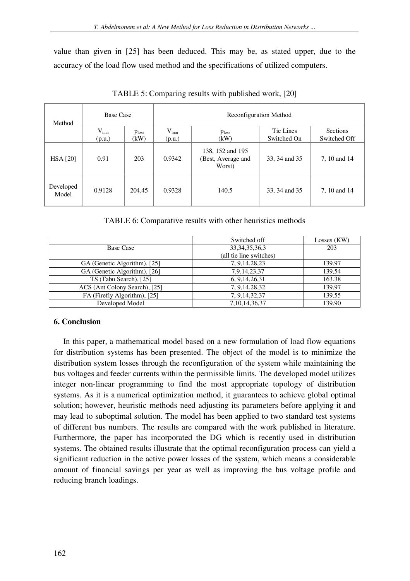value than given in [25] has been deduced. This may be, as stated upper, due to the accuracy of the load flow used method and the specifications of utilized computers.

| Method             | <b>Base Case</b>    |                    |                     |                                                  | Reconfiguration Method   |                          |  |
|--------------------|---------------------|--------------------|---------------------|--------------------------------------------------|--------------------------|--------------------------|--|
|                    | $V_{min}$<br>(p.u.) | $p_{loss}$<br>(kW) | $V_{min}$<br>(p.u.) | p <sub>loss</sub><br>(kW)                        | Tie Lines<br>Switched On | Sections<br>Switched Off |  |
| <b>HSA [20]</b>    | 0.91                | 203                | 0.9342              | 138, 152 and 195<br>(Best, Average and<br>Worst) | 33, 34 and 35            | 7, 10 and 14             |  |
| Developed<br>Model | 0.9128              | 204.45             | 0.9328              | 140.5                                            | 33, 34 and 35            | 7, 10 and 14             |  |

TABLE 5: Comparing results with published work, [20]

# TABLE 6: Comparative results with other heuristics methods

|                               | Switched off            | Losses $(KW)$ |
|-------------------------------|-------------------------|---------------|
| Base Case                     | 33, 34, 35, 36, 3       | 203           |
|                               | (all tie line switches) |               |
| GA (Genetic Algorithm), [25]  | 7, 9, 14, 28, 23        | 139.97        |
| GA (Genetic Algorithm), [26]  | 7,9,14,23,37            | 139.54        |
| TS (Tabu Search), [25]        | 6, 9, 14, 26, 31        | 163.38        |
| ACS (Ant Colony Search), [25] | 7, 9, 14, 28, 32        | 139.97        |
| FA (Firefly Algorithm), [25]  | 7, 9, 14, 32, 37        | 139.55        |
| Developed Model               | 7, 10, 14, 36, 37       | 139.90        |

# **6. Conclusion**

In this paper, a mathematical model based on a new formulation of load flow equations for distribution systems has been presented. The object of the model is to minimize the distribution system losses through the reconfiguration of the system while maintaining the bus voltages and feeder currents within the permissible limits. The developed model utilizes integer non-linear programming to find the most appropriate topology of distribution systems. As it is a numerical optimization method, it guarantees to achieve global optimal solution; however, heuristic methods need adjusting its parameters before applying it and may lead to suboptimal solution. The model has been applied to two standard test systems of different bus numbers. The results are compared with the work published in literature. Furthermore, the paper has incorporated the DG which is recently used in distribution systems. The obtained results illustrate that the optimal reconfiguration process can yield a significant reduction in the active power losses of the system, which means a considerable amount of financial savings per year as well as improving the bus voltage profile and reducing branch loadings.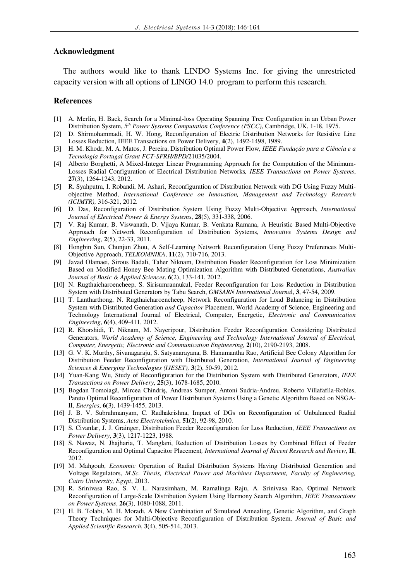#### **Acknowledgment**

The authors would like to thank LINDO Systems Inc. for giving the unrestricted capacity version with all options of LINGO 14.0 program to perform this research.

#### **References**

- [1] A. Merlin, H. Back, Search for a Minimal-loss Operating Spanning Tree Configuration in an Urban Power Distribution System, *5 th Power Systems Computation Conference (PSCC)*, Cambridge, UK, 1-18, 1975.
- [2] D. Shirmohammadi, H. W. Hong, Reconfiguration of Electric Distribution Networks for Resistive Line Losses Reduction, IEEE Transactions on Power Delivery, **4**(2), 1492-1498, 1989.
- [3] H. M. Khodr, M. A. Matos, J. Pereira, Distribution Optimal Power Flow, *IEEE Fundação para a Ciência e a Tecnologia Portugal Grant FCT-SFRH/BPD/*21035/2004.
- [4] Alberto Borghetti, A Mixed-Integer Linear Programming Approach for the Computation of the Minimum-Losses Radial Configuration of Electrical Distribution Networks*, IEEE Transactions on Power Systems*, **27**(3), 1264-1243, 2012.
- [5] R. Syahputra, I. Robandi, M. Ashari, Reconfiguration of Distribution Network with DG Using Fuzzy Multiobjective Method, *International Conference on Innovation, Management and Technology Research (ICIMTR),* 316-321, 2012.
- [6] D. Das, Reconfiguration of Distribution System Using Fuzzy Multi-Objective Approach, *International Journal of Electrical Power & Energy Systems*, **28**(5), 331-338, 2006.
- [7] V. Raj Kumar, B. Viswanath, D. Vijaya Kumar, B. Venkata Ramana, A Heuristic Based Multi-Objective Approach for Network Reconfiguration of Distribution Systems, *Innovative Systems Design and Engineering*, **2**(5), 22-33, 2011.
- [8] Hongbin Sun, Chunjun Zhou, A Self-Learning Network Reconfiguration Using Fuzzy Preferences Multi-Objective Approach, *TELKOMNIKA*, **11**(2), 710-716, 2013.
- [9] Javad Olamaei, Sirous Badali, Taher Niknam, Distribution Feeder Reconfiguration for Loss Minimization Based on Modified Honey Bee Mating Optimization Algorithm with Distributed Generations, *Australian Journal of Basic & Applied Sciences*, **6**(2), 133-141, 2012.
- [10] N. Rugthaicharoencheep, S. Sirisumrannukul, Feeder Reconfiguration for Loss Reduction in Distribution System with Distributed Generators by Tabu Search, *GMSARN International Journa*l, **3**, 47-54, 2009.
- [11] T. Lantharthong, N. Rugthaicharoencheep, Network Reconfiguration for Load Balancing in Distribution System with Distributed Generation *and Capacitor* Placement, World Academy of Science, Engineering and Technology International Journal of Electrical, Computer, Energetic, *Electronic and Communication Engineering*, **6**(4), 409-411, 2012.
- [12] R. Khorshidi, T. Niknam, M. Nayeripour, Distribution Feeder Reconfiguration Considering Distributed Generators, *World Academy of Science, Engineering and Technology International Journal of Electrical, Computer, Energetic, Electronic and Communication Engineering,* **2**(10), 2190-2193, 2008.
- [13] G. V. K. Murthy, Sivanagaraju, S. Satyanarayana, B. Hanumantha Rao, Artificial Bee Colony Algorithm for Distribution Feeder Reconfiguration with Distributed Generation, *International Journal of Engineering Sciences & Emerging Technologies (IJESET),* **3**(2), 50-59, 2012.
- [14] Yuan-Kang Wu, Study of Reconfiguration for the Distribution System with Distributed Generators, *IEEE Transactions on Power Delivery*, **25**(3), 1678-1685, 2010.
- [15] Bogdan Tomoiagă, Mircea Chindriş, Andreas Sumper, Antoni Sudria-Andreu, Roberto Villafafila-Robles, Pareto Optimal Reconfiguration of Power Distribution Systems Using a Genetic Algorithm Based on NSGA-II, *Energies*, **6**(3), 1439-1455, 2013.
- [16] J. B. V. Subrahmanyam, C. Radhakrishna, Impact of DGs on Reconfiguration of Unbalanced Radial Distribution Systems, *Acta Electrotehnica*, **51**(2), 92-98, 2010.
- [17] S. Civanlar, J. J. Grainger, Distribution Feeder Reconfiguration for Loss Reduction, *IEEE Transactions on Power Delivery*, **3**(3), 1217-1223, 1988.
- [18] S. Nawaz, N. Jhajharia, T. Manglani, Reduction of Distribution Losses by Combined Effect of Feeder Reconfiguration and Optimal Capacitor Placement*, International Journal of Recent Research and Review*, **II**, 2012.
- [19] M. Mahgoub, *Economic* Operation of Radial Distribution Systems Having Distributed Generation and Voltage Regulators, *M.Sc. Thesis, Electrical Power and Machines Department, Faculty of Engineering, Cairo University, Egypt*, 2013.
- [20] R. Srinivasa Rao, S. V. L. Narasimham, M. Ramalinga Raju, A. Srinivasa Rao, Optimal Network Reconfiguration of Large-Scale Distribution System Using Harmony Search Algorithm, *IEEE Transactions on Power Systems*, **26**(3), 1080-1088, 2011.
- [21] H. B. Tolabi, M. H. Moradi, A New Combination of Simulated Annealing, Genetic Algorithm, and Graph Theory Techniques for Multi-Objective Reconfiguration of Distribution System, *Journal of Basic and Applied Scientific Research*, **3**(4), 505-514, 2013.